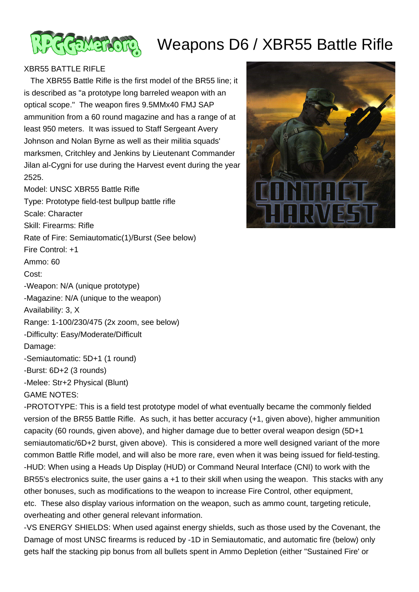

## Weapons D6 / XBR55 Battle Rifle

## XBR55 BATTLE RIFLE

 The XBR55 Battle Rifle is the first model of the BR55 line; it is described as "a prototype long barreled weapon with an optical scope." The weapon fires 9.5MMx40 FMJ SAP ammunition from a 60 round magazine and has a range of at least 950 meters. It was issued to Staff Sergeant Avery Johnson and Nolan Byrne as well as their militia squads' marksmen, Critchley and Jenkins by Lieutenant Commander Jilan al-Cygni for use during the Harvest event during the year 2525.

Model: UNSC XBR55 Battle Rifle Type: Prototype field-test bullpup battle rifle Scale: Character Skill: Firearms: Rifle Rate of Fire: Semiautomatic(1)/Burst (See below) Fire Control: +1 Ammo: 60 Cost: -Weapon: N/A (unique prototype) -Magazine: N/A (unique to the weapon) Availability: 3, X Range: 1-100/230/475 (2x zoom, see below) -Difficulty: Easy/Moderate/Difficult Damage: -Semiautomatic: 5D+1 (1 round) -Burst: 6D+2 (3 rounds) -Melee: Str+2 Physical (Blunt) GAME NOTES:

-PROTOTYPE: This is a field test prototype model of what eventually became the commonly fielded version of the BR55 Battle Rifle. As such, it has better accuracy (+1, given above), higher ammunition capacity (60 rounds, given above), and higher damage due to better overal weapon design (5D+1 semiautomatic/6D+2 burst, given above). This is considered a more well designed variant of the more common Battle Rifle model, and will also be more rare, even when it was being issued for field-testing. -HUD: When using a Heads Up Display (HUD) or Command Neural Interface (CNI) to work with the BR55's electronics suite, the user gains a +1 to their skill when using the weapon. This stacks with any other bonuses, such as modifications to the weapon to increase Fire Control, other equipment, etc. These also display various information on the weapon, such as ammo count, targeting reticule, overheating and other general relevant information.

-VS ENERGY SHIELDS: When used against energy shields, such as those used by the Covenant, the Damage of most UNSC firearms is reduced by -1D in Semiautomatic, and automatic fire (below) only gets half the stacking pip bonus from all bullets spent in Ammo Depletion (either "Sustained Fire' or